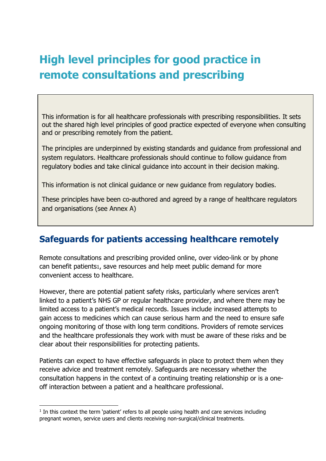# **High level principles for good practice in remote consultations and prescribing**

This information is for all healthcare professionals with prescribing responsibilities. It sets out the shared high level principles of good practice expected of everyone when consulting and or prescribing remotely from the patient.

The principles are underpinned by existing standards and guidance from professional and system regulators. Healthcare professionals should continue to follow guidance from regulatory bodies and take clinical guidance into account in their decision making.

This information is not clinical guidance or new guidance from regulatory bodies.

These principles have been co-authored and agreed by a range of healthcare regulators and organisations (see Annex A)

## **Safeguards for patients accessing healthcare remotely**

Remote consultations and prescribing provided online, over video-link or by phone can benefit patients1, save resources and help meet public demand for more convenient access to healthcare.

However, there are potential patient safety risks, particularly where services aren't linked to a patient's NHS GP or regular healthcare provider, and where there may be limited access to a patient's medical records. Issues include increased attempts to gain access to medicines which can cause serious harm and the need to ensure safe ongoing monitoring of those with long term conditions. Providers of remote services and the healthcare professionals they work with must be aware of these risks and be clear about their responsibilities for protecting patients.

Patients can expect to have effective safeguards in place to protect them when they receive advice and treatment remotely. Safeguards are necessary whether the consultation happens in the context of a continuing treating relationship or is a oneoff interaction between a patient and a healthcare professional.

 $<sup>1</sup>$  In this context the term 'patient' refers to all people using health and care services including</sup> pregnant women, service users and clients receiving non-surgical/clinical treatments.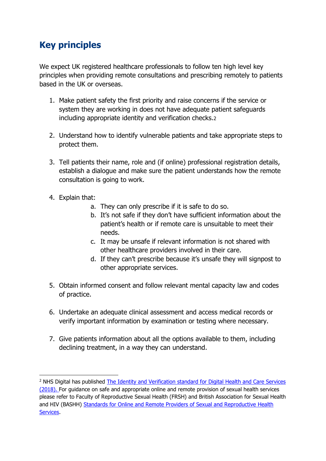## **Key principles**

We expect UK registered healthcare professionals to follow ten high level key principles when providing remote consultations and prescribing remotely to patients based in the UK or overseas.

- 1. Make patient safety the first priority and raise concerns if the service or system they are working in does not have adequate patient safeguards including appropriate identity and verification checks.2
- 2. Understand how to identify vulnerable patients and take appropriate steps to protect them.
- 3. Tell patients their name, role and (if online) professional registration details, establish a dialogue and make sure the patient understands how the remote consultation is going to work.
- 4. Explain that:

**.** 

- a. They can only prescribe if it is safe to do so.
- b. It's not safe if they don't have sufficient information about the patient's health or if remote care is unsuitable to meet their needs.
- c. It may be unsafe if relevant information is not shared with other healthcare providers involved in their care.
- d. If they can't prescribe because it's unsafe they will signpost to other appropriate services.
- 5. Obtain informed consent and follow relevant mental capacity law and codes of practice.
- 6. Undertake an adequate clinical assessment and access medical records or verify important information by examination or testing where necessary.
- 7. Give patients information about all the options available to them, including declining treatment, in a way they can understand.

<sup>&</sup>lt;sup>2</sup> NHS Digital has published [The Identity and Verification standard for Digital Health and Care Services](https://digital.nhs.uk/data-and-information/information-standards/information-standards-and-data-collections-including-extractions/publications-and-notifications/standards-and-collections/dcb3051-identity-verification-and-authentication-standard-for-digital-health-and-care-services) (2018). For guidance on safe and appropriate online and remote provision of sexual health services please refer to Faculty of Reproductive Sexual Health (FRSH) and British Association for Sexual Health and HIV (BASHH) [Standards for Online and Remote Providers of Sexual and Reproductive](https://www.fsrh.org/blogs/fsrh-bashh-standards-online-providers-sexual-reproductive-health/) Health [Services.](https://www.fsrh.org/blogs/fsrh-bashh-standards-online-providers-sexual-reproductive-health/)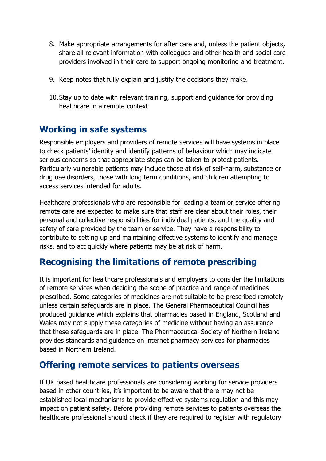- 8. Make appropriate arrangements for after care and, unless the patient objects, share all relevant information with colleagues and other health and social care providers involved in their care to support ongoing monitoring and treatment.
- 9. Keep notes that fully explain and justify the decisions they make.
- 10.Stay up to date with relevant training, support and guidance for providing healthcare in a remote context.

## **Working in safe systems**

Responsible employers and providers of remote services will have systems in place to check patients' identity and identify patterns of behaviour which may indicate serious concerns so that appropriate steps can be taken to protect patients. Particularly vulnerable patients may include those at risk of self-harm, substance or drug use disorders, those with long term conditions, and children attempting to access services intended for adults.

Healthcare professionals who are responsible for leading a team or service offering remote care are expected to make sure that staff are clear about their roles, their personal and collective responsibilities for individual patients, and the quality and safety of care provided by the team or service. They have a responsibility to contribute to setting up and maintaining effective systems to identify and manage risks, and to act quickly where patients may be at risk of harm.

## **Recognising the limitations of remote prescribing**

It is important for healthcare professionals and employers to consider the limitations of remote services when deciding the scope of practice and range of medicines prescribed. Some categories of medicines are not suitable to be prescribed remotely unless certain safeguards are in place. The General Pharmaceutical Council has produced guidance which explains that pharmacies based in England, Scotland and Wales may not supply these categories of medicine without having an assurance that these safeguards are in place. The Pharmaceutical Society of Northern Ireland provides standards and guidance on internet pharmacy services for pharmacies based in Northern Ireland.

## **Offering remote services to patients overseas**

If UK based healthcare professionals are considering working for service providers based in other countries, it's important to be aware that there may not be established local mechanisms to provide effective systems regulation and this may impact on patient safety. Before providing remote services to patients overseas the healthcare professional should check if they are required to register with regulatory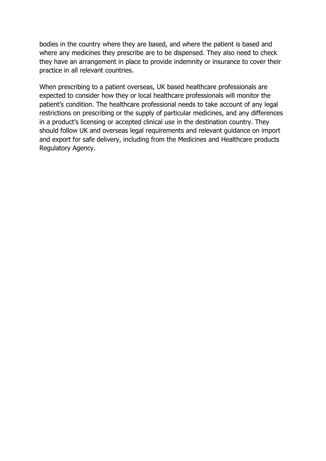bodies in the country where they are based, and where the patient is based and where any medicines they prescribe are to be dispensed. They also need to check they have an arrangement in place to provide indemnity or insurance to cover their practice in all relevant countries.

When prescribing to a patient overseas, UK based healthcare professionals are expected to consider how they or local healthcare professionals will monitor the patient's condition. The healthcare professional needs to take account of any legal restrictions on prescribing or the supply of particular medicines, and any differences in a product's licensing or accepted clinical use in the destination country. They should follow UK and overseas legal requirements and relevant guidance on import and export for safe delivery, including from the Medicines and Healthcare products Regulatory Agency.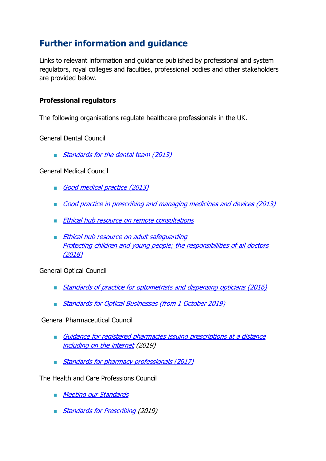## **Further information and guidance**

Links to relevant information and guidance published by professional and system regulators, royal colleges and faculties, professional bodies and other stakeholders are provided below.

#### **Professional regulators**

The following organisations regulate healthcare professionals in the UK.

General Dental Council

■ [Standards for the dental team](https://www.gdc-uk.org/information-standards-guidance/standards-and-guidance/standards-for-the-dental-team) (2013)

General Medical Council

- [Good medical practice \(2013\)](https://www.gmc-uk.org/ethical-guidance/ethical-guidance-for-doctors/good-medical-practice)
- [Good practice in prescribing and managing medicines and devices \(2013\)](https://www.gmc-uk.org/-/media/documents/Prescribing_guidance.pdf_59055247.pdf)
- [Ethical hub resource on remote consultations](https://www.gmc-uk.org/ethical-guidance/ethical-hub/remote-consultations)
- Ethical hub resource on adult safequarding [Protecting children and young people; the responsibilities of all doctors](https://www.gmc-uk.org/ethical-guidance/ethical-guidance-for-doctors/protecting-children-and-young-people)  [\(2018\)](https://www.gmc-uk.org/ethical-guidance/ethical-guidance-for-doctors/protecting-children-and-young-people)

General Optical Council

- [Standards of practice for optometrists and dispensing opticians \(2016\)](https://www.optical.org/filemanager/root/site_assets/standards/new_standards_documents/standards_of_practice_web.pdf)
- [Standards for Optical Businesses \(from 1 October 2019\)](https://www.optical.org/filemanager/root/site_assets/standards/new_standards_documents/new_business_standards.pdf)

General Pharmaceutical Council

- Guidance for registered pharmacies issuing prescriptions at a distance [including on the internet](https://www.pharmacyregulation.org/sites/default/files/document/guidance_for_registered_pharmacies_providing_pharmacy_services_at_a_distance_including_on_the_internet_april_2019.pdf) (2019)
- [Standards for pharmacy professionals \(2017\)](https://www.pharmacyregulation.org/sites/default/files/standards_for_pharmacy_professionals_may_2017_0.pdf)

The Health and Care Professions Council

- [Meeting our Standards](https://www.hcpc-uk.org/registration/meeting-our-standards/)
- [Standards for Prescribing](https://www.hcpc-uk.org/standards/standards-relevant-to-education-and-training/standards-for-prescribing/) (2019)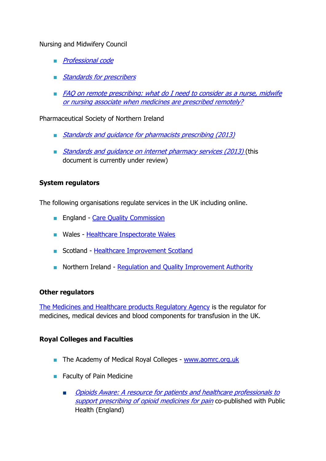#### Nursing and Midwifery Council

- *[Professional code](https://www.nmc.org.uk/standards/code/)*
- [Standards](https://www.nmc.org.uk/standards/standards-for-post-registration/standards-for-prescribers/) for prescribers
- FAQ on remote prescribing: what do I need to consider as a nurse, midwife [or nursing associate when medicines are prescribed remotely?](https://www.nmc.org.uk/standards/standards-for-post-registration/standards-for-prescribers/useful-information-for-prescribers/)

Pharmaceutical Society of Northern Ireland

- [Standards and guidance for pharmacists prescribing \(2013\)](https://www.psni.org.uk/wp-content/uploads/2012/09/Standards-and-Guidance-for-Pharmacist-Prescribing-April-2013.pdf)
- *Standards and quidance on internet pharmacy services (2013)* (this document is currently under review)

#### **System regulators**

The following organisations regulate services in the UK including online.

- England [Care Quality Commission](http://www.cqc.org.uk/)
- Wales [Healthcare Inspectorate Wales](http://www.hiw.org.uk/)
- Scotland [Healthcare Improvement Scotland](file:///C:/Users/mvalentine/AppData/Local/Microsoft/Windows/INetCache/Content.Outlook/VVUYBLNV/www.healthcareimprovementscotland.org)
- Northern Ireland [Regulation and Quality Improvement Authority](http://www.rqia.org.uk/)

#### **Other regulators**

The [Medicines and Healthcare products Regulatory Agency](http://www.gov.uk/mhra) is the regulator for medicines, medical devices and blood components for transfusion in the UK.

#### **Royal Colleges and Faculties**

- The Academy of Medical Royal Colleges [www.aomrc.org.uk](http://www.aomrc.org.uk/)
- Faculty of Pain Medicine
	- Opioids Aware: A resource for patients and healthcare professionals to [support prescribing of opioid medicines for pain](https://www.rcoa.ac.uk/faculty-of-pain-medicine/opioids-aware) co-published with Public Health (England)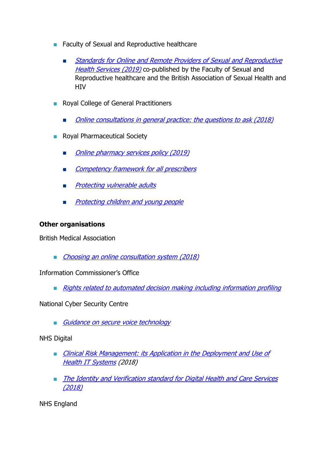- Faculty of Sexual and Reproductive healthcare
	- **Standards for Online and Remote Providers of Sexual and Reproductive** [Health Services](https://www.fsrh.org/blogs/fsrh-bashh-standards-online-providers-sexual-reproductive-health/) (2019) co-published by the Faculty of Sexual and Reproductive healthcare and the British Association of Sexual Health and **HIV**
- Royal College of General Practitioners
	- [Online consultations in general practice: the questions to ask \(2018\)](https://www.rcgp.org.uk/about-us/news/2018/april/college-takes-the-lead-in-advising-patients-on-online-consultation-safety.aspx)
- Royal Pharmaceutical Society
	- [Online pharmacy services policy](https://www.rpharms.com/recognition/all-our-campaigns/policy-a-z/online-pharmacy-services) (2019)
	- Competency framework for all prescribers
	- **[Protecting vulnerable adults](https://www.rpharms.com/resources/quick-reference-guides/protecting-vulnerable-adults)**
	- [Protecting children and young people](https://www.rpharms.com/resources/quick-reference-guides/protecting-children-and-young-people)

#### **Other organisations**

British Medical Association

■ [Choosing an online consultation system](https://www.bma.org.uk/advice/employment/gp-practices/service-provision/choosing-an-online-consultation-system) (2018)

Information Commissioner's Office

■ [Rights related to automated decision making including information profiling](file://///gmc-uk.org/fileservices/Site2/HomeDirs/CGarcia/Desktop/Standards%20team/:%20https:/ico.org.uk/for-organisations/guide-to-data-protection/guide-to-the-general-data-protection-regulation-gdpr/individual-rights/rights-related-to-automated-decision-making-including-profiling/)

National Cyber Security Centre

■ [Guidance](https://www.ncsc.gov.uk/guidance/secure-voice-official) on secure voice technology

NHS Digital

- **Example 20** [Clinical Risk Management: its Application in the Deployment](https://digital.nhs.uk/data-and-information/information-standards/information-standards-and-data-collections-including-extractions/publications-and-notifications/standards-and-collections/dcb0160-clinical-risk-management-its-application-in-the-deployment-and-use-of-health-it-systems) and Use of Health IT [Systems](https://digital.nhs.uk/data-and-information/information-standards/information-standards-and-data-collections-including-extractions/publications-and-notifications/standards-and-collections/dcb0160-clinical-risk-management-its-application-in-the-deployment-and-use-of-health-it-systems) (2018)
- [The Identity and Verification standard for Digital Health and Care Services](https://digital.nhs.uk/data-and-information/information-standards/information-standards-and-data-collections-including-extractions/publications-and-notifications/standards-and-collections/dcb3051-identity-verification-and-authentication-standard-for-digital-health-and-care-services) (2018)

NHS England